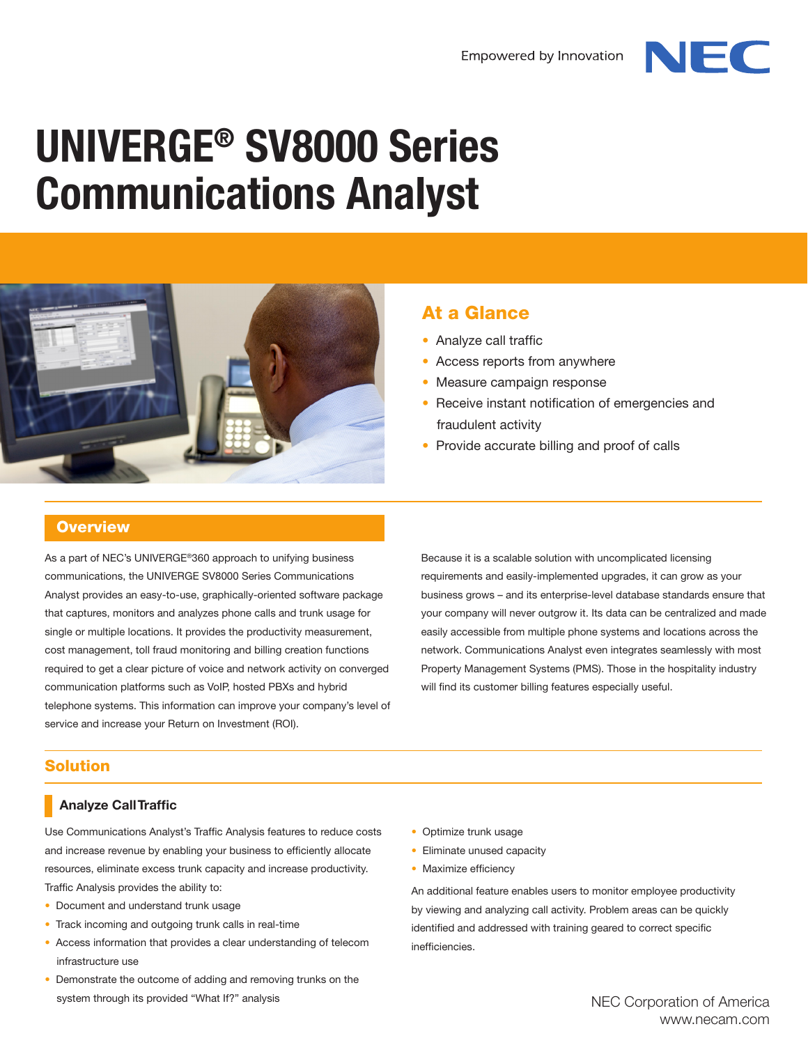

# **UNIVERGE® SV8000 Series Communications Analyst**



### At a Glance

- Analyze call traffic
- Access reports from anywhere
- Measure campaign response
- Receive instant notification of emergencies and fraudulent activity
- Provide accurate billing and proof of calls

#### **Overview**

As a part of NEC's UNIVERGE®360 approach to unifying business communications, the UNIVERGE SV8000 Series Communications Analyst provides an easy-to-use, graphically-oriented software package that captures, monitors and analyzes phone calls and trunk usage for single or multiple locations. It provides the productivity measurement, cost management, toll fraud monitoring and billing creation functions required to get a clear picture of voice and network activity on converged communication platforms such as VoIP, hosted PBXs and hybrid telephone systems. This information can improve your company's level of service and increase your Return on Investment (ROI).

Because it is a scalable solution with uncomplicated licensing requirements and easily-implemented upgrades, it can grow as your business grows – and its enterprise-level database standards ensure that your company will never outgrow it. Its data can be centralized and made easily accessible from multiple phone systems and locations across the network. Communications Analyst even integrates seamlessly with most Property Management Systems (PMS). Those in the hospitality industry will find its customer billing features especially useful.

#### Solution

#### **Analyze Call Traffic**

Use Communications Analyst's Traffic Analysis features to reduce costs and increase revenue by enabling your business to efficiently allocate resources, eliminate excess trunk capacity and increase productivity. Traffic Analysis provides the ability to:

- Document and understand trunk usage
- Track incoming and outgoing trunk calls in real-time
- Access information that provides a clear understanding of telecom infrastructure use
- Demonstrate the outcome of adding and removing trunks on the system through its provided "What If?" analysis
- Optimize trunk usage
- Eliminate unused capacity
- Maximize efficiency

An additional feature enables users to monitor employee productivity by viewing and analyzing call activity. Problem areas can be quickly identified and addressed with training geared to correct specific inefficiencies.